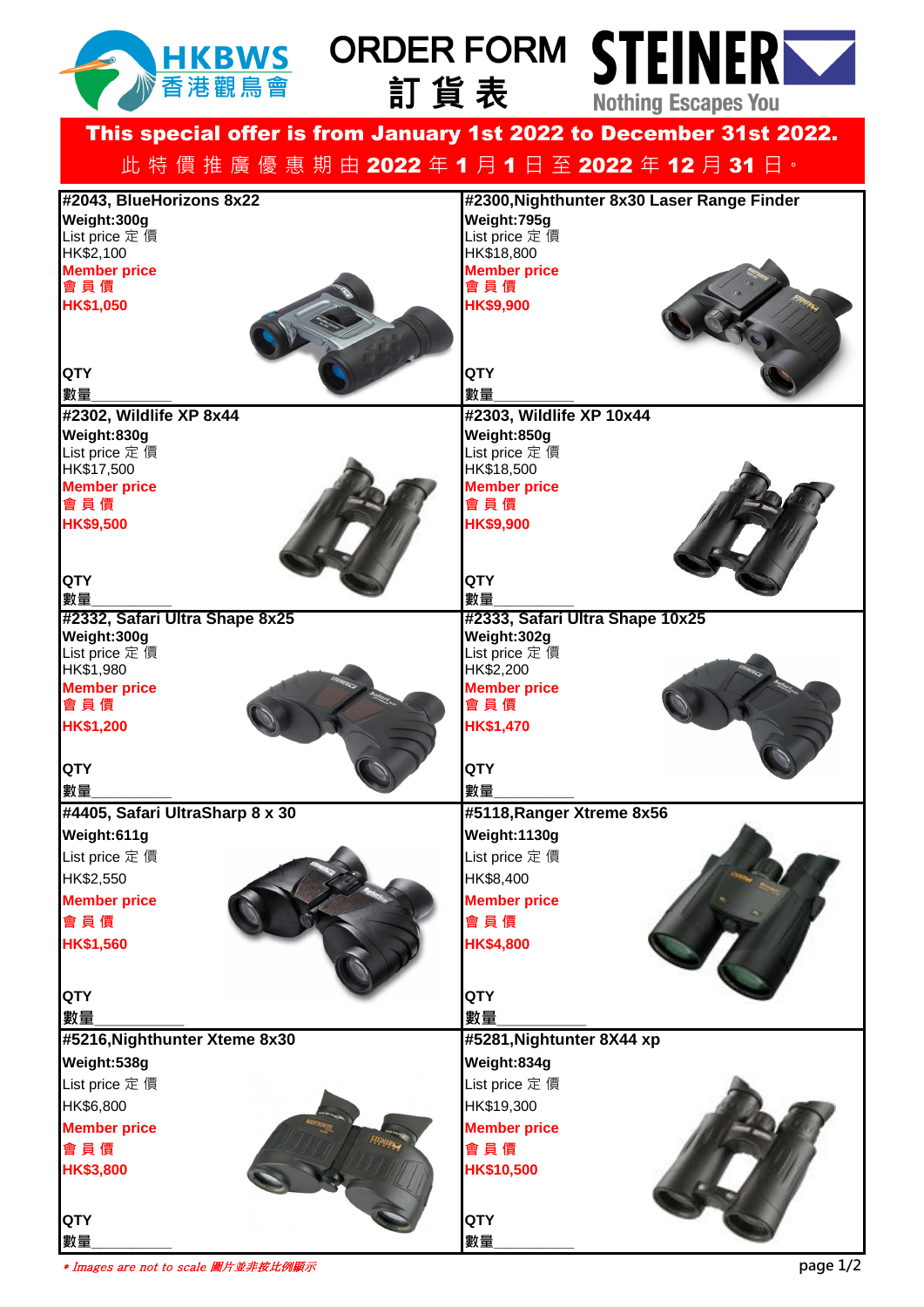

## 訂貨表



This special offer is from January 1st 2022 to December 31st 2022. 此 特 價 推 廣 優 惠 期 由 2022 年 1 月 1 日 至 2022 年 12 月 31 日 ·

| #2043, BlueHorizons 8x22<br>Weight:300g | #2300, Nighthunter 8x30 Laser Range Finder<br>Weight: 795g |
|-----------------------------------------|------------------------------------------------------------|
| List price 定 價                          | List price 定價                                              |
| HK\$2,100                               | HK\$18,800                                                 |
| <b>Member price</b>                     | <b>Member price</b>                                        |
| 會員價                                     | 會員價                                                        |
| HK\$1,050                               | <b>HK\$9,900</b>                                           |
|                                         |                                                            |
|                                         |                                                            |
| <b>QTY</b>                              | QTY                                                        |
| 數量                                      | 數量                                                         |
| #2302, Wildlife XP 8x44                 | #2303, Wildlife XP 10x44                                   |
| Weight:830g                             | Weight:850g                                                |
| List price 定 價                          | List price 定價                                              |
| HK\$17,500<br><b>Member price</b>       | HK\$18,500<br><b>Member price</b>                          |
| 會員價                                     | 會員價                                                        |
| HK\$9,500                               | HK\$9,900                                                  |
|                                         |                                                            |
|                                         |                                                            |
| <b>QTY</b>                              | <b>QTY</b>                                                 |
| 數量                                      | 數量                                                         |
| #2332, Safari Ultra Shape 8x25          | #2333, Safari Ultra Shape 10x25                            |
| Weight:300g                             | Weight:302g                                                |
| List price 定 價<br>HK\$1,980             | List price 定價<br>HK\$2,200                                 |
| <b>Member price</b>                     | <b>Member price</b>                                        |
| 會員價                                     | 會員價                                                        |
| HK\$1,200                               | <b>HK\$1,470</b>                                           |
|                                         |                                                            |
| <b>QTY</b>                              | QTY                                                        |
| 數量                                      | 數量                                                         |
| #4405, Safari UltraSharp 8 x 30         | #5118, Ranger Xtreme 8x56                                  |
| Weight:611g                             | Weight:1130g                                               |
| List price 定 價                          | List price 定 價                                             |
| HK\$2,550                               | HK\$8,400                                                  |
| <b>Member price</b>                     | <b>Member price</b>                                        |
| 會員價                                     | 會員價                                                        |
| <b>HK\$1,560</b>                        | HK\$4,800                                                  |
|                                         |                                                            |
|                                         |                                                            |
| <b>QTY</b>                              | QTY                                                        |
| 數量                                      | 數量                                                         |
| #5216, Nighthunter Xteme 8x30           | #5281, Nightunter 8X44 xp                                  |
| Weight:538g                             | Weight:834g                                                |
| List price 定 價                          | List price 定 價                                             |
| HK\$6,800                               | HK\$19,300                                                 |
| <b>Member price</b>                     | <b>Member price</b>                                        |
| 會員價                                     | 會員價                                                        |
| <b>HK\$3,800</b>                        | HK\$10,500                                                 |
|                                         |                                                            |
|                                         |                                                            |
| <b>QTY</b>                              | QTY                                                        |
| 數量                                      | 數量                                                         |

\* Images are not to scale 圖片並非按比例顯示 **page 1/2**